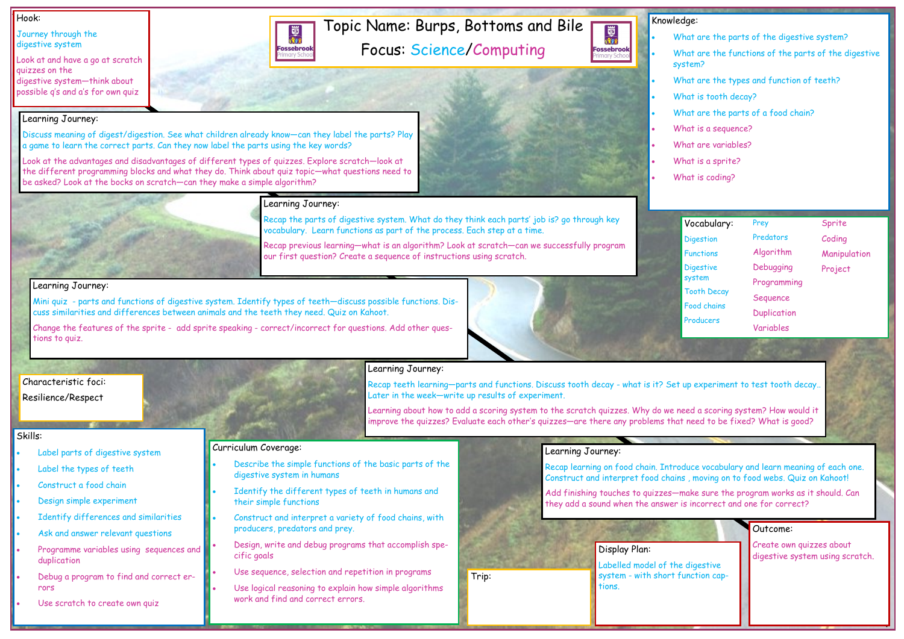# Topic Name: Burps, Bottoms and Bile Focus: Science/Computing

#### Hook:

Journey through the digestive system

## • What are the parts of the digestive system? What are the functions of the parts of the digestive system? What are the types and function of teeth? • What is tooth decay? What are the parts of a food chain? • What is a sequence? • What are variables? • What is a sprite? What is coding?

Look at and have a go at scratch quizzes on the digestive system—think about possible q's and a's for own quiz

### Outcome:

Create own quizzes about digestive system using scratch.



國流

**Fossebrook** 







#### Skills:

- Label parts of digestive system
- Label the types of teeth
- Construct a food chain
- Design simple experiment
- Identify differences and similarities
- Ask and answer relevant questions
- Programme variables using sequences and duplication
- Debug a program to find and correct errors
- Use scratch to create own quiz

### Learning Journey:



Discuss meaning of digest/digestion. See what children already know—can they label the parts? Play

a game to learn the correct parts. Can they now label the parts using the key words?

Look at the advantages and disadvantages of different types of quizzes. Explore scratch—look at the different programming blocks and what they do. Think about quiz topic—what questions need to

be asked? Look at the bocks on scratch—can they make a simple algorithm?

#### Learning Journey:

Recap the parts of digestive system. What do they think each parts' job is? go through key vocabulary. Learn functions as part of the process. Each step at a time.

Recap previous learning—what is an algorithm? Look at scratch—can we successfully program our first question? Create a sequence of instructions using scratch.

#### Learning Journey:

Mini quiz - parts and functions of digestive system. Identify types of teeth—discuss possible functions. Discuss similarities and differences between animals and the teeth they need. Quiz on Kahoot.

Change the features of the sprite - add sprite speaking - correct/incorrect for questions. Add other questions to quiz.



## Learning Journey:

Recap teeth learning—parts and functions. Discuss tooth decay - what is it? Set up experiment to test tooth decay.. Later in the week—write up results of experiment.

Learning about how to add a scoring system to the scratch quizzes. Why do we need a scoring system? How would it improve the quizzes? Evaluate each other's quizzes—are there any problems that need to be fixed? What is good?

#### Learning Journey:

Recap learning on food chain. Introduce vocabulary and learn meaning of each one. Construct and interpret food chains , moving on to food webs. Quiz on Kahoot!

Add finishing touches to quizzes—make sure the program works as it should. Can they add a sound when the answer is incorrect and one for correct?

#### Curriculum Coverage:

- Describe the simple functions of the basic parts of the digestive system in humans
- Identify the different types of teeth in humans and their simple functions
- Construct and interpret a variety of food chains, with producers, predators and prey.
- Design, write and debug programs that accomplish specific goals
- Use sequence, selection and repetition in programs
- Use logical reasoning to explain how simple algorithms work and find and correct errors.

#### Vocabulary:

- **Digestion**
- Functions
- **Digestive** system
- Tooth Decay
- Food chains
- 
- **Producers**

## Prey Predators Algorithm Debugging Programming Sequence **Duplication** Variables

## Sprite Coding Manipulation Project

## Display Plan:

Labelled model of the digestive system - with short function captions.

Trip:

## Characteristic foci: Resilience/Respect